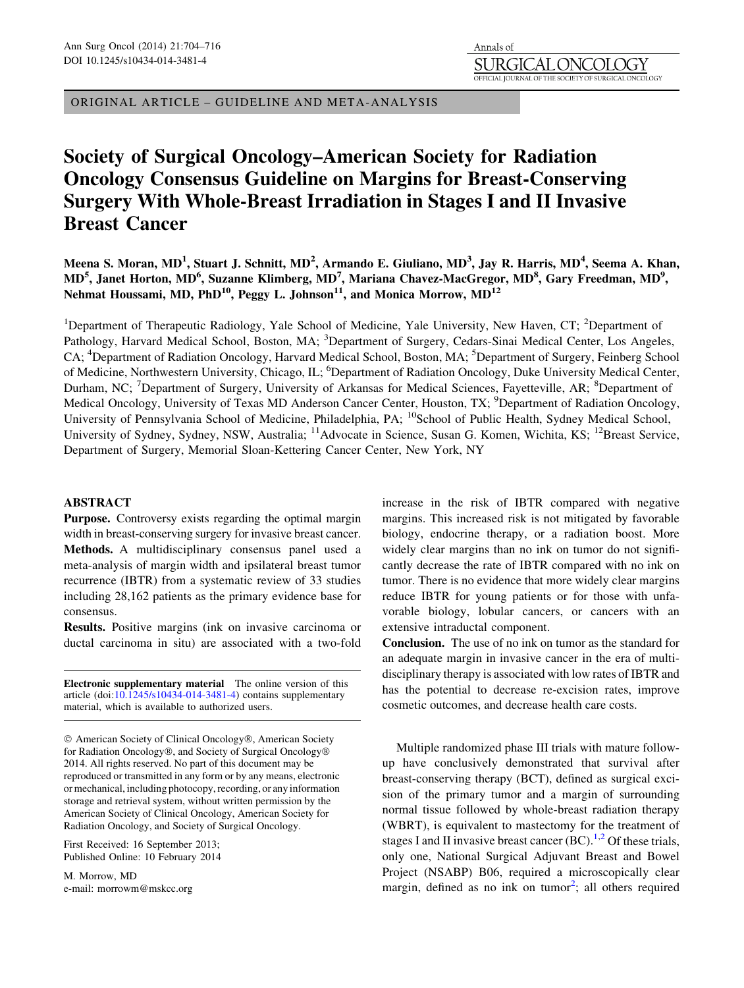ORIGINAL ARTICLE – GUIDELINE AND META-ANALYSIS

# Society of Surgical Oncology–American Society for Radiation Oncology Consensus Guideline on Margins for Breast-Conserving Surgery With Whole-Breast Irradiation in Stages I and II Invasive Breast Cancer

Meena S. Moran, MD<sup>1</sup>, Stuart J. Schnitt, MD<sup>2</sup>, Armando E. Giuliano, MD<sup>3</sup>, Jay R. Harris, MD<sup>4</sup>, Seema A. Khan,  $\rm MD^5$ , Janet Horton,  $\rm MD^6$ , Suzanne Klimberg,  $\rm MD^7$ , Mariana Chavez-MacGregor,  $\rm MD^8$ , Gary Freedman,  $\rm MD^9$ , Nehmat Houssami, MD, PhD<sup>10</sup>, Peggy L. Johnson<sup>11</sup>, and Monica Morrow, MD<sup>12</sup>

<sup>1</sup>Department of Therapeutic Radiology, Yale School of Medicine, Yale University, New Haven, CT; <sup>2</sup>Department of Pathology, Harvard Medical School, Boston, MA; <sup>3</sup>Department of Surgery, Cedars-Sinai Medical Center, Los Angeles, CA; <sup>4</sup>Department of Radiation Oncology, Harvard Medical School, Boston, MA; <sup>5</sup>Department of Surgery, Feinberg School of Medicine, Northwestern University, Chicago, IL; <sup>6</sup>Department of Radiation Oncology, Duke University Medical Center, Durham, NC; <sup>7</sup>Department of Surgery, University of Arkansas for Medical Sciences, Fayetteville, AR; <sup>8</sup>Department of Medical Oncology, University of Texas MD Anderson Cancer Center, Houston, TX; <sup>9</sup>Department of Radiation Oncology, University of Pennsylvania School of Medicine, Philadelphia, PA; <sup>10</sup>School of Public Health, Sydney Medical School, University of Sydney, Sydney, NSW, Australia; <sup>11</sup>Advocate in Science, Susan G. Komen, Wichita, KS; <sup>12</sup>Breast Service, Department of Surgery, Memorial Sloan-Kettering Cancer Center, New York, NY

## ABSTRACT

Purpose. Controversy exists regarding the optimal margin width in breast-conserving surgery for invasive breast cancer. Methods. A multidisciplinary consensus panel used a meta-analysis of margin width and ipsilateral breast tumor recurrence (IBTR) from a systematic review of 33 studies including 28,162 patients as the primary evidence base for consensus.

Results. Positive margins (ink on invasive carcinoma or ductal carcinoma in situ) are associated with a two-fold

Electronic supplementary material The online version of this article (doi:[10.1245/s10434-014-3481-4\)](http://dx.doi.org/10.1245/s10434-014-3481-4) contains supplementary material, which is available to authorized users.

© American Society of Clinical Oncology®, American Society for Radiation Oncology®, and Society of Surgical Oncology® 2014. All rights reserved. No part of this document may be reproduced or transmitted in any form or by any means, electronic or mechanical, including photocopy, recording, or any information storage and retrieval system, without written permission by the American Society of Clinical Oncology, American Society for Radiation Oncology, and Society of Surgical Oncology.

First Received: 16 September 2013; Published Online: 10 February 2014

M. Morrow, MD e-mail: morrowm@mskcc.org increase in the risk of IBTR compared with negative margins. This increased risk is not mitigated by favorable biology, endocrine therapy, or a radiation boost. More widely clear margins than no ink on tumor do not significantly decrease the rate of IBTR compared with no ink on tumor. There is no evidence that more widely clear margins reduce IBTR for young patients or for those with unfavorable biology, lobular cancers, or cancers with an extensive intraductal component.

Conclusion. The use of no ink on tumor as the standard for an adequate margin in invasive cancer in the era of multidisciplinary therapy is associated with low rates of IBTR and has the potential to decrease re-excision rates, improve cosmetic outcomes, and decrease health care costs.

Multiple randomized phase III trials with mature followup have conclusively demonstrated that survival after breast-conserving therapy (BCT), defined as surgical excision of the primary tumor and a margin of surrounding normal tissue followed by whole-breast radiation therapy (WBRT), is equivalent to mastectomy for the treatment of stages I and II invasive breast cancer  $(BC)$ .<sup>1,2</sup> Of these trials, only one, National Surgical Adjuvant Breast and Bowel Project (NSABP) B06, required a microscopically clear margin, defined as no ink on tumor<sup>2</sup>; all others required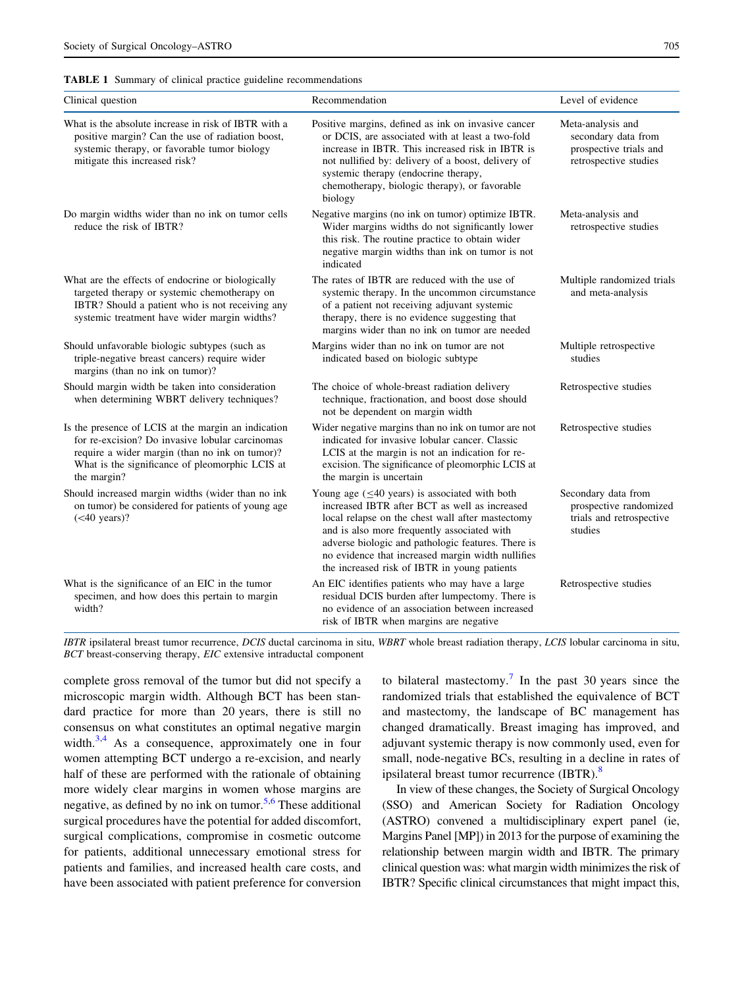<span id="page-1-0"></span>

|  |  |  |  |  | <b>TABLE 1</b> Summary of clinical practice guideline recommendations |
|--|--|--|--|--|-----------------------------------------------------------------------|
|--|--|--|--|--|-----------------------------------------------------------------------|

| Clinical question                                                                                                                                                                                                          | Recommendation                                                                                                                                                                                                                                                                                                                                                     | Level of evidence                                                                           |
|----------------------------------------------------------------------------------------------------------------------------------------------------------------------------------------------------------------------------|--------------------------------------------------------------------------------------------------------------------------------------------------------------------------------------------------------------------------------------------------------------------------------------------------------------------------------------------------------------------|---------------------------------------------------------------------------------------------|
| What is the absolute increase in risk of IBTR with a<br>positive margin? Can the use of radiation boost,<br>systemic therapy, or favorable tumor biology<br>mitigate this increased risk?                                  | Positive margins, defined as ink on invasive cancer<br>or DCIS, are associated with at least a two-fold<br>increase in IBTR. This increased risk in IBTR is<br>not nullified by: delivery of a boost, delivery of<br>systemic therapy (endocrine therapy,<br>chemotherapy, biologic therapy), or favorable<br>biology                                              | Meta-analysis and<br>secondary data from<br>prospective trials and<br>retrospective studies |
| Do margin widths wider than no ink on tumor cells<br>reduce the risk of IBTR?                                                                                                                                              | Negative margins (no ink on tumor) optimize IBTR.<br>Wider margins widths do not significantly lower<br>this risk. The routine practice to obtain wider<br>negative margin widths than ink on tumor is not<br>indicated                                                                                                                                            | Meta-analysis and<br>retrospective studies                                                  |
| What are the effects of endocrine or biologically<br>targeted therapy or systemic chemotherapy on<br>IBTR? Should a patient who is not receiving any<br>systemic treatment have wider margin widths?                       | The rates of IBTR are reduced with the use of<br>systemic therapy. In the uncommon circumstance<br>of a patient not receiving adjuvant systemic<br>therapy, there is no evidence suggesting that<br>margins wider than no ink on tumor are needed                                                                                                                  | Multiple randomized trials<br>and meta-analysis                                             |
| Should unfavorable biologic subtypes (such as<br>triple-negative breast cancers) require wider<br>margins (than no ink on tumor)?                                                                                          | Margins wider than no ink on tumor are not<br>indicated based on biologic subtype                                                                                                                                                                                                                                                                                  | Multiple retrospective<br>studies                                                           |
| Should margin width be taken into consideration<br>when determining WBRT delivery techniques?                                                                                                                              | The choice of whole-breast radiation delivery<br>technique, fractionation, and boost dose should<br>not be dependent on margin width                                                                                                                                                                                                                               | Retrospective studies                                                                       |
| Is the presence of LCIS at the margin an indication<br>for re-excision? Do invasive lobular carcinomas<br>require a wider margin (than no ink on tumor)?<br>What is the significance of pleomorphic LCIS at<br>the margin? | Wider negative margins than no ink on tumor are not<br>indicated for invasive lobular cancer. Classic<br>LCIS at the margin is not an indication for re-<br>excision. The significance of pleomorphic LCIS at<br>the margin is uncertain                                                                                                                           | Retrospective studies                                                                       |
| Should increased margin widths (wider than no ink<br>on tumor) be considered for patients of young age<br>$(<$ 40 years)?                                                                                                  | Young age $(\leq 40$ years) is associated with both<br>increased IBTR after BCT as well as increased<br>local relapse on the chest wall after mastectomy<br>and is also more frequently associated with<br>adverse biologic and pathologic features. There is<br>no evidence that increased margin width nullifies<br>the increased risk of IBTR in young patients | Secondary data from<br>prospective randomized<br>trials and retrospective<br>studies        |
| What is the significance of an EIC in the tumor<br>specimen, and how does this pertain to margin<br>width?                                                                                                                 | An EIC identifies patients who may have a large<br>residual DCIS burden after lumpectomy. There is<br>no evidence of an association between increased<br>risk of IBTR when margins are negative                                                                                                                                                                    | Retrospective studies                                                                       |

IBTR ipsilateral breast tumor recurrence, DCIS ductal carcinoma in situ, WBRT whole breast radiation therapy, LCIS lobular carcinoma in situ, BCT breast-conserving therapy, EIC extensive intraductal component

complete gross removal of the tumor but did not specify a microscopic margin width. Although BCT has been standard practice for more than 20 years, there is still no consensus on what constitutes an optimal negative margin width. $3,4$  $3,4$  $3,4$  As a consequence, approximately one in four women attempting BCT undergo a re-excision, and nearly half of these are performed with the rationale of obtaining more widely clear margins in women whose margins are negative, as defined by no ink on tumor.<sup>[5,6](#page-10-0)</sup> These additional surgical procedures have the potential for added discomfort, surgical complications, compromise in cosmetic outcome for patients, additional unnecessary emotional stress for patients and families, and increased health care costs, and have been associated with patient preference for conversion to bilateral mastectomy.<sup>[7](#page-10-0)</sup> In the past 30 years since the randomized trials that established the equivalence of BCT and mastectomy, the landscape of BC management has changed dramatically. Breast imaging has improved, and adjuvant systemic therapy is now commonly used, even for small, node-negative BCs, resulting in a decline in rates of ipsilateral breast tumor recurrence (IBTR).<sup>[8](#page-10-0)</sup>

In view of these changes, the Society of Surgical Oncology (SSO) and American Society for Radiation Oncology (ASTRO) convened a multidisciplinary expert panel (ie, Margins Panel [MP]) in 2013 for the purpose of examining the relationship between margin width and IBTR. The primary clinical question was: what margin width minimizes the risk of IBTR? Specific clinical circumstances that might impact this,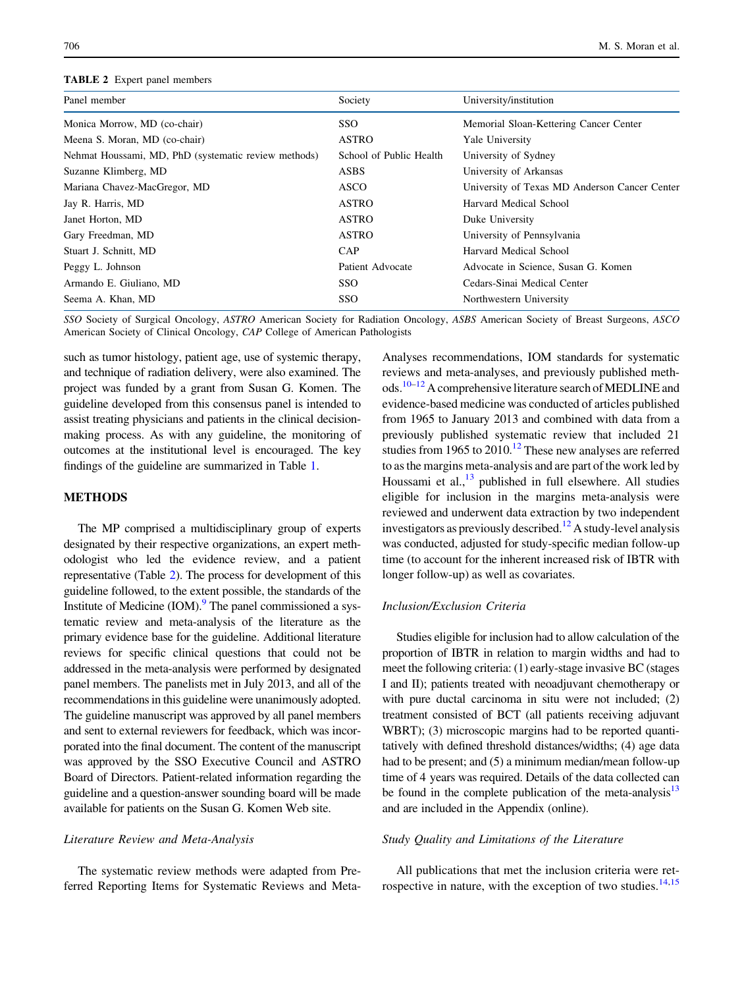#### TABLE 2 Expert panel members

| Panel member                                         | Society                 | University/institution                        |
|------------------------------------------------------|-------------------------|-----------------------------------------------|
| Monica Morrow, MD (co-chair)                         | <b>SSO</b>              | Memorial Sloan-Kettering Cancer Center        |
| Meena S. Moran, MD (co-chair)                        | ASTRO                   | Yale University                               |
| Nehmat Houssami, MD, PhD (systematic review methods) | School of Public Health | University of Sydney                          |
| Suzanne Klimberg, MD                                 | <b>ASBS</b>             | University of Arkansas                        |
| Mariana Chavez-MacGregor, MD                         | ASCO                    | University of Texas MD Anderson Cancer Center |
| Jay R. Harris, MD                                    | <b>ASTRO</b>            | Harvard Medical School                        |
| Janet Horton, MD                                     | <b>ASTRO</b>            | Duke University                               |
| Gary Freedman, MD                                    | <b>ASTRO</b>            | University of Pennsylvania                    |
| Stuart J. Schnitt, MD                                | <b>CAP</b>              | Harvard Medical School                        |
| Peggy L. Johnson                                     | Patient Advocate        | Advocate in Science, Susan G. Komen           |
| Armando E. Giuliano, MD                              | <b>SSO</b>              | Cedars-Sinai Medical Center                   |
| Seema A. Khan, MD                                    | <b>SSO</b>              | Northwestern University                       |
|                                                      |                         |                                               |

SSO Society of Surgical Oncology, ASTRO American Society for Radiation Oncology, ASBS American Society of Breast Surgeons, ASCO American Society of Clinical Oncology, CAP College of American Pathologists

such as tumor histology, patient age, use of systemic therapy, and technique of radiation delivery, were also examined. The project was funded by a grant from Susan G. Komen. The guideline developed from this consensus panel is intended to assist treating physicians and patients in the clinical decisionmaking process. As with any guideline, the monitoring of outcomes at the institutional level is encouraged. The key findings of the guideline are summarized in Table [1](#page-1-0).

## METHODS

The MP comprised a multidisciplinary group of experts designated by their respective organizations, an expert methodologist who led the evidence review, and a patient representative (Table 2). The process for development of this guideline followed, to the extent possible, the standards of the Institute of Medicine (IOM).<sup>[9](#page-10-0)</sup> The panel commissioned a systematic review and meta-analysis of the literature as the primary evidence base for the guideline. Additional literature reviews for specific clinical questions that could not be addressed in the meta-analysis were performed by designated panel members. The panelists met in July 2013, and all of the recommendations in this guideline were unanimously adopted. The guideline manuscript was approved by all panel members and sent to external reviewers for feedback, which was incorporated into the final document. The content of the manuscript was approved by the SSO Executive Council and ASTRO Board of Directors. Patient-related information regarding the guideline and a question-answer sounding board will be made available for patients on the Susan G. Komen Web site.

## Literature Review and Meta-Analysis

The systematic review methods were adapted from Preferred Reporting Items for Systematic Reviews and MetaAnalyses recommendations, IOM standards for systematic reviews and meta-analyses, and previously published methods.<sup>10–12</sup> A comprehensive literature search of MEDLINE and evidence-based medicine was conducted of articles published from 1965 to January 2013 and combined with data from a previously published systematic review that included 21 studies from 1965 to 2010.<sup>12</sup> These new analyses are referred to as the margins meta-analysis and are part of the work led by Houssami et al., $^{13}$  published in full elsewhere. All studies eligible for inclusion in the margins meta-analysis were reviewed and underwent data extraction by two independent investigators as previously described.<sup>12</sup> A study-level analysis was conducted, adjusted for study-specific median follow-up time (to account for the inherent increased risk of IBTR with longer follow-up) as well as covariates.

## Inclusion/Exclusion Criteria

Studies eligible for inclusion had to allow calculation of the proportion of IBTR in relation to margin widths and had to meet the following criteria: (1) early-stage invasive BC (stages I and II); patients treated with neoadjuvant chemotherapy or with pure ductal carcinoma in situ were not included; (2) treatment consisted of BCT (all patients receiving adjuvant WBRT); (3) microscopic margins had to be reported quantitatively with defined threshold distances/widths; (4) age data had to be present; and (5) a minimum median/mean follow-up time of 4 years was required. Details of the data collected can be found in the complete publication of the meta-analysis $13$ and are included in the Appendix (online).

## Study Quality and Limitations of the Literature

All publications that met the inclusion criteria were retrospective in nature, with the exception of two studies. $14,15$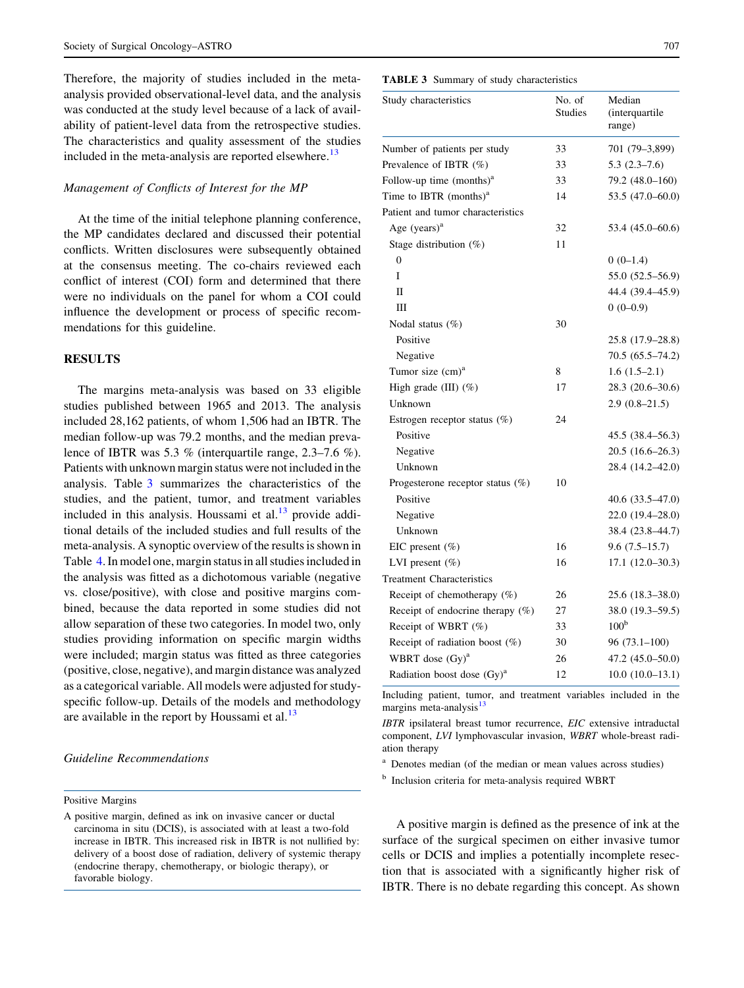Therefore, the majority of studies included in the metaanalysis provided observational-level data, and the analysis was conducted at the study level because of a lack of availability of patient-level data from the retrospective studies. The characteristics and quality assessment of the studies included in the meta-analysis are reported elsewhere.<sup>[13](#page-10-0)</sup>

#### Management of Conflicts of Interest for the MP

At the time of the initial telephone planning conference, the MP candidates declared and discussed their potential conflicts. Written disclosures were subsequently obtained at the consensus meeting. The co-chairs reviewed each conflict of interest (COI) form and determined that there were no individuals on the panel for whom a COI could influence the development or process of specific recommendations for this guideline.

## RESULTS

The margins meta-analysis was based on 33 eligible studies published between 1965 and 2013. The analysis included 28,162 patients, of whom 1,506 had an IBTR. The median follow-up was 79.2 months, and the median prevalence of IBTR was 5.3 % (interquartile range, 2.3–7.6 %). Patients with unknown margin status were not included in the analysis. Table 3 summarizes the characteristics of the studies, and the patient, tumor, and treatment variables included in this analysis. Houssami et al. $^{13}$  $^{13}$  $^{13}$  provide additional details of the included studies and full results of the meta-analysis. A synoptic overview of the results is shown in Table [4](#page-4-0). In model one, margin status in all studies included in the analysis was fitted as a dichotomous variable (negative vs. close/positive), with close and positive margins combined, because the data reported in some studies did not allow separation of these two categories. In model two, only studies providing information on specific margin widths were included; margin status was fitted as three categories (positive, close, negative), and margin distance was analyzed as a categorical variable. All models were adjusted for studyspecific follow-up. Details of the models and methodology are available in the report by Houssami et al. $^{13}$  $^{13}$  $^{13}$ 

## Guideline Recommendations

Positive Margins

## TABLE 3 Summary of study characteristics

| Study characteristics               | No. of<br>Studies | Median<br>(interquartile<br>range) |
|-------------------------------------|-------------------|------------------------------------|
| Number of patients per study        | 33                | 701 (79-3,899)                     |
| Prevalence of IBTR $(\%)$           | 33                | $5.3(2.3-7.6)$                     |
| Follow-up time $(months)^a$         | 33                | 79.2 (48.0-160)                    |
| Time to IBTR $(months)^a$           | 14                | 53.5 $(47.0 - 60.0)$               |
| Patient and tumor characteristics   |                   |                                    |
| Age $(years)^a$                     | 32                | 53.4 (45.0-60.6)                   |
| Stage distribution (%)              | 11                |                                    |
| 0                                   |                   | $0(0-1.4)$                         |
| I                                   |                   | 55.0 (52.5–56.9)                   |
| П                                   |                   | 44.4 (39.4-45.9)                   |
| Ш                                   |                   | $0(0-0.9)$                         |
| Nodal status (%)                    | 30                |                                    |
| Positive                            |                   | 25.8 (17.9-28.8)                   |
| Negative                            |                   | $70.5(65.5 - 74.2)$                |
| Tumor size $(cm)^a$                 | 8                 | $1.6(1.5-2.1)$                     |
| High grade (III) (%)                | 17                | 28.3 (20.6–30.6)                   |
| Unknown                             |                   | $2.9(0.8-21.5)$                    |
| Estrogen receptor status (%)        | 24                |                                    |
| Positive                            |                   | $45.5(38.4 - 56.3)$                |
| Negative                            |                   | $20.5(16.6-26.3)$                  |
| Unknown                             |                   | 28.4 (14.2-42.0)                   |
| Progesterone receptor status $(\%)$ | 10                |                                    |
| Positive                            |                   | $40.6(33.5 - 47.0)$                |
| Negative                            |                   | $22.0(19.4 - 28.0)$                |
| Unknown                             |                   | 38.4 (23.8-44.7)                   |
| EIC present $(\%)$                  | 16                | $9.6(7.5-15.7)$                    |
| LVI present $(\% )$                 | 16                | $17.1(12.0-30.3)$                  |
| <b>Treatment Characteristics</b>    |                   |                                    |
| Receipt of chemotherapy (%)         | 26                | $25.6(18.3 - 38.0)$                |
| Receipt of endocrine therapy $(\%)$ | 27                | 38.0 (19.3–59.5)                   |
| Receipt of WBRT (%)                 | 33                | 100 <sup>b</sup>                   |
| Receipt of radiation boost $(\%)$   | 30                | $96(73.1 - 100)$                   |
| WBRT dose $(Gy)^a$                  | 26                | 47.2 (45.0-50.0)                   |
| Radiation boost dose $(Gy)^a$       | 12                | $10.0(10.0-13.1)$                  |

Including patient, tumor, and treatment variables included in the margins meta-analysis $13$ 

IBTR ipsilateral breast tumor recurrence, EIC extensive intraductal component, LVI lymphovascular invasion, WBRT whole-breast radiation therapy

Denotes median (of the median or mean values across studies)

<sup>b</sup> Inclusion criteria for meta-analysis required WBRT

A positive margin is defined as the presence of ink at the surface of the surgical specimen on either invasive tumor cells or DCIS and implies a potentially incomplete resection that is associated with a significantly higher risk of IBTR. There is no debate regarding this concept. As shown

A positive margin, defined as ink on invasive cancer or ductal carcinoma in situ (DCIS), is associated with at least a two-fold increase in IBTR. This increased risk in IBTR is not nullified by: delivery of a boost dose of radiation, delivery of systemic therapy (endocrine therapy, chemotherapy, or biologic therapy), or favorable biology.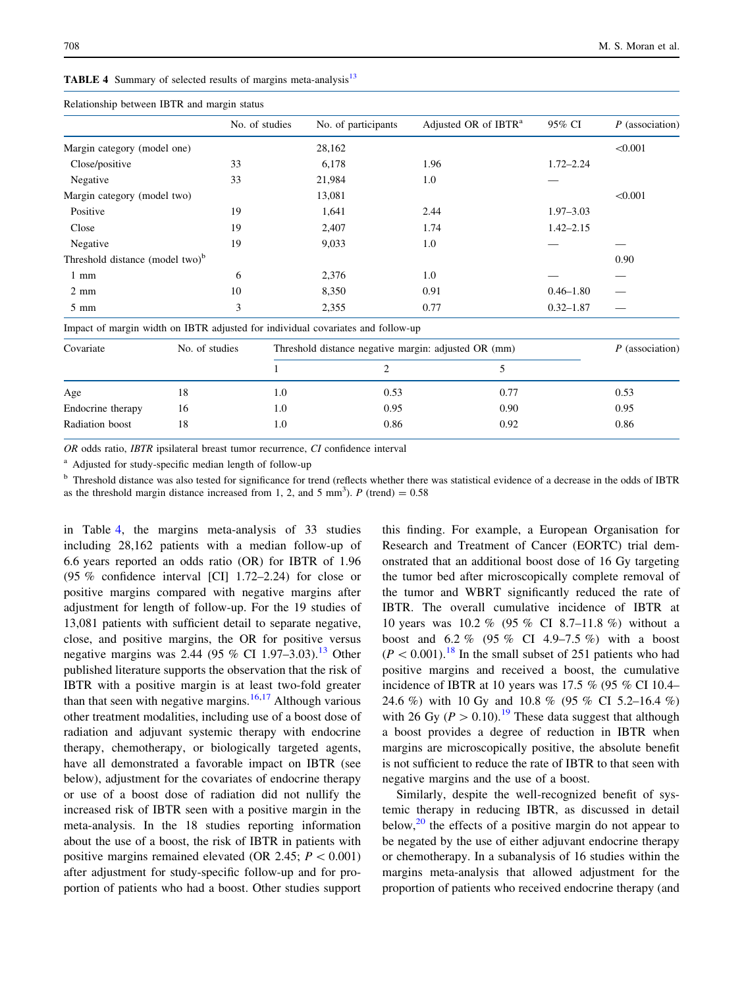<span id="page-4-0"></span>

|  |  | <b>TABLE 4</b> Summary of selected results of margins meta-analysis <sup>13</sup> |
|--|--|-----------------------------------------------------------------------------------|
|  |  |                                                                                   |

|                                             | No. of studies | No. of participants | Adjusted OR of IBTR <sup>a</sup> | 95% CI        | $P$ (association) |
|---------------------------------------------|----------------|---------------------|----------------------------------|---------------|-------------------|
| Margin category (model one)                 |                | 28,162              |                                  |               | < 0.001           |
| Close/positive                              | 33             | 6,178               | 1.96                             | $1.72 - 2.24$ |                   |
| Negative                                    | 33             | 21,984              | 1.0                              |               |                   |
| Margin category (model two)                 |                | 13,081              |                                  |               | < 0.001           |
| Positive                                    | 19             | 1,641               | 2.44                             | $1.97 - 3.03$ |                   |
| Close                                       | 19             | 2,407               | 1.74                             | $1.42 - 2.15$ |                   |
| Negative                                    | 19             | 9,033               | 1.0                              |               |                   |
| Threshold distance (model two) <sup>b</sup> |                |                     |                                  |               | 0.90              |
| $1 \text{ mm}$                              | 6              | 2,376               | 1.0                              |               |                   |
| $2 \text{ mm}$                              | 10             | 8,350               | 0.91                             | $0.46 - 1.80$ |                   |
| $5 \text{ mm}$                              | 3              | 2,355               | 0.77                             | $0.32 - 1.87$ |                   |

Relationship between IBTR and margin status

Impact of margin width on IBTR adjusted for individual covariates and follow-up

| Covariate         | No. of studies | Threshold distance negative margin: adjusted OR (mm) | $P$ (association) |      |      |
|-------------------|----------------|------------------------------------------------------|-------------------|------|------|
|                   |                |                                                      |                   |      |      |
| Age               | 18             | 1.0                                                  | 0.53              | 0.77 | 0.53 |
| Endocrine therapy | 16             | 1.0                                                  | 0.95              | 0.90 | 0.95 |
| Radiation boost   | 18             | 1.0                                                  | 0.86              | 0.92 | 0.86 |

OR odds ratio, IBTR ipsilateral breast tumor recurrence, CI confidence interval

<sup>a</sup> Adjusted for study-specific median length of follow-up

<sup>b</sup> Threshold distance was also tested for significance for trend (reflects whether there was statistical evidence of a decrease in the odds of IBTR as the threshold margin distance increased from 1, 2, and 5 mm<sup>3</sup>). P (trend) =  $0.58$ 

in Table 4, the margins meta-analysis of 33 studies including 28,162 patients with a median follow-up of 6.6 years reported an odds ratio (OR) for IBTR of 1.96 (95 % confidence interval [CI] 1.72–2.24) for close or positive margins compared with negative margins after adjustment for length of follow-up. For the 19 studies of 13,081 patients with sufficient detail to separate negative, close, and positive margins, the OR for positive versus negative margins was 2.44 (95 % CI 1.97–3.03).<sup>[13](#page-10-0)</sup> Other published literature supports the observation that the risk of IBTR with a positive margin is at least two-fold greater than that seen with negative margins.<sup>[16,17](#page-11-0)</sup> Although various other treatment modalities, including use of a boost dose of radiation and adjuvant systemic therapy with endocrine therapy, chemotherapy, or biologically targeted agents, have all demonstrated a favorable impact on IBTR (see below), adjustment for the covariates of endocrine therapy or use of a boost dose of radiation did not nullify the increased risk of IBTR seen with a positive margin in the meta-analysis. In the 18 studies reporting information about the use of a boost, the risk of IBTR in patients with positive margins remained elevated (OR 2.45;  $P \lt 0.001$ ) after adjustment for study-specific follow-up and for proportion of patients who had a boost. Other studies support this finding. For example, a European Organisation for Research and Treatment of Cancer (EORTC) trial demonstrated that an additional boost dose of 16 Gy targeting the tumor bed after microscopically complete removal of the tumor and WBRT significantly reduced the rate of IBTR. The overall cumulative incidence of IBTR at 10 years was 10.2 % (95 % CI 8.7–11.8 %) without a boost and  $6.2\%$  (95 % CI 4.9–7.5 %) with a boost  $(P<0.001)$ .<sup>[18](#page-11-0)</sup> In the small subset of 251 patients who had positive margins and received a boost, the cumulative incidence of IBTR at 10 years was 17.5 % (95 % CI 10.4– 24.6 %) with 10 Gy and 10.8 % (95 % CI 5.2–16.4 %) with 26 Gy ( $P > 0.10$ ).<sup>[19](#page-11-0)</sup> These data suggest that although a boost provides a degree of reduction in IBTR when margins are microscopically positive, the absolute benefit is not sufficient to reduce the rate of IBTR to that seen with negative margins and the use of a boost.

Similarly, despite the well-recognized benefit of systemic therapy in reducing IBTR, as discussed in detail below, $^{20}$  $^{20}$  $^{20}$  the effects of a positive margin do not appear to be negated by the use of either adjuvant endocrine therapy or chemotherapy. In a subanalysis of 16 studies within the margins meta-analysis that allowed adjustment for the proportion of patients who received endocrine therapy (and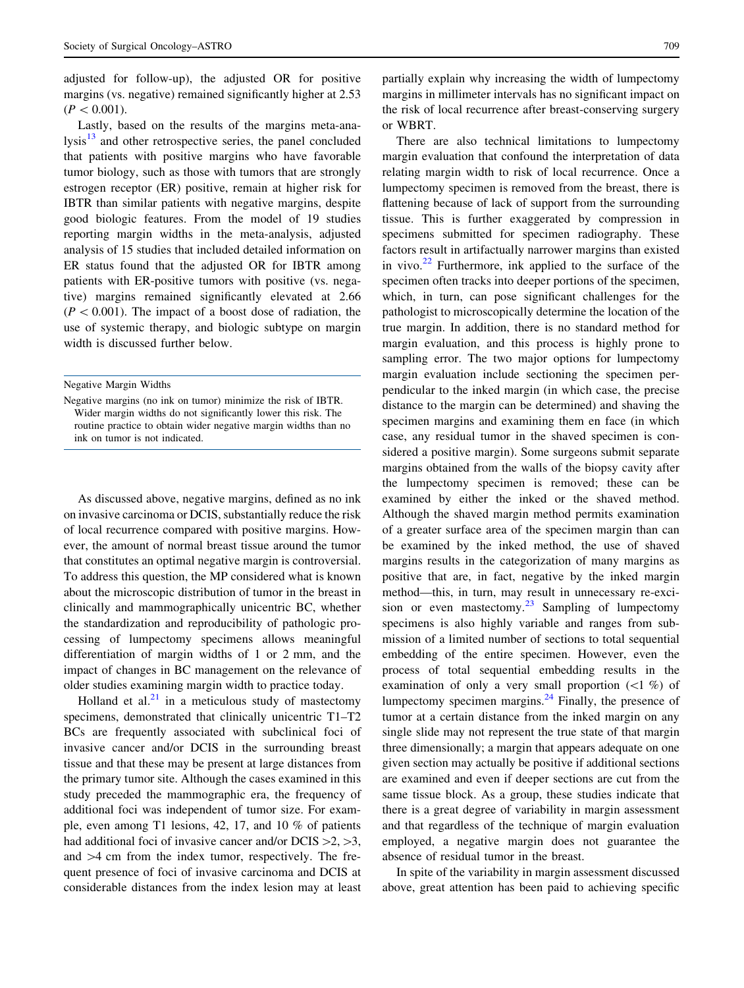adjusted for follow-up), the adjusted OR for positive margins (vs. negative) remained significantly higher at 2.53  $(P<0.001)$ .

Lastly, based on the results of the margins meta-ana- $lysis<sup>13</sup>$  $lysis<sup>13</sup>$  $lysis<sup>13</sup>$  and other retrospective series, the panel concluded that patients with positive margins who have favorable tumor biology, such as those with tumors that are strongly estrogen receptor (ER) positive, remain at higher risk for IBTR than similar patients with negative margins, despite good biologic features. From the model of 19 studies reporting margin widths in the meta-analysis, adjusted analysis of 15 studies that included detailed information on ER status found that the adjusted OR for IBTR among patients with ER-positive tumors with positive (vs. negative) margins remained significantly elevated at 2.66  $(P<0.001)$ . The impact of a boost dose of radiation, the use of systemic therapy, and biologic subtype on margin width is discussed further below.

As discussed above, negative margins, defined as no ink on invasive carcinoma or DCIS, substantially reduce the risk of local recurrence compared with positive margins. However, the amount of normal breast tissue around the tumor that constitutes an optimal negative margin is controversial. To address this question, the MP considered what is known about the microscopic distribution of tumor in the breast in clinically and mammographically unicentric BC, whether the standardization and reproducibility of pathologic processing of lumpectomy specimens allows meaningful differentiation of margin widths of 1 or 2 mm, and the impact of changes in BC management on the relevance of older studies examining margin width to practice today.

Holland et al. $^{21}$  $^{21}$  $^{21}$  in a meticulous study of mastectomy specimens, demonstrated that clinically unicentric T1–T2 BCs are frequently associated with subclinical foci of invasive cancer and/or DCIS in the surrounding breast tissue and that these may be present at large distances from the primary tumor site. Although the cases examined in this study preceded the mammographic era, the frequency of additional foci was independent of tumor size. For example, even among T1 lesions, 42, 17, and 10 % of patients had additional foci of invasive cancer and/or DCIS  $>2$ ,  $>3$ , and  $>4$  cm from the index tumor, respectively. The frequent presence of foci of invasive carcinoma and DCIS at considerable distances from the index lesion may at least partially explain why increasing the width of lumpectomy margins in millimeter intervals has no significant impact on the risk of local recurrence after breast-conserving surgery or WBRT.

There are also technical limitations to lumpectomy margin evaluation that confound the interpretation of data relating margin width to risk of local recurrence. Once a lumpectomy specimen is removed from the breast, there is flattening because of lack of support from the surrounding tissue. This is further exaggerated by compression in specimens submitted for specimen radiography. These factors result in artifactually narrower margins than existed in vivo. $22$  Furthermore, ink applied to the surface of the specimen often tracks into deeper portions of the specimen, which, in turn, can pose significant challenges for the pathologist to microscopically determine the location of the true margin. In addition, there is no standard method for margin evaluation, and this process is highly prone to sampling error. The two major options for lumpectomy margin evaluation include sectioning the specimen perpendicular to the inked margin (in which case, the precise distance to the margin can be determined) and shaving the specimen margins and examining them en face (in which case, any residual tumor in the shaved specimen is considered a positive margin). Some surgeons submit separate margins obtained from the walls of the biopsy cavity after the lumpectomy specimen is removed; these can be examined by either the inked or the shaved method. Although the shaved margin method permits examination of a greater surface area of the specimen margin than can be examined by the inked method, the use of shaved margins results in the categorization of many margins as positive that are, in fact, negative by the inked margin method—this, in turn, may result in unnecessary re-excision or even mastectomy. $23$  Sampling of lumpectomy specimens is also highly variable and ranges from submission of a limited number of sections to total sequential embedding of the entire specimen. However, even the process of total sequential embedding results in the examination of only a very small proportion  $(\leq 1 \%)$  of lumpectomy specimen margins. $^{24}$  $^{24}$  $^{24}$  Finally, the presence of tumor at a certain distance from the inked margin on any single slide may not represent the true state of that margin three dimensionally; a margin that appears adequate on one given section may actually be positive if additional sections are examined and even if deeper sections are cut from the same tissue block. As a group, these studies indicate that there is a great degree of variability in margin assessment and that regardless of the technique of margin evaluation employed, a negative margin does not guarantee the absence of residual tumor in the breast.

In spite of the variability in margin assessment discussed above, great attention has been paid to achieving specific

Negative Margin Widths

Negative margins (no ink on tumor) minimize the risk of IBTR. Wider margin widths do not significantly lower this risk. The routine practice to obtain wider negative margin widths than no ink on tumor is not indicated.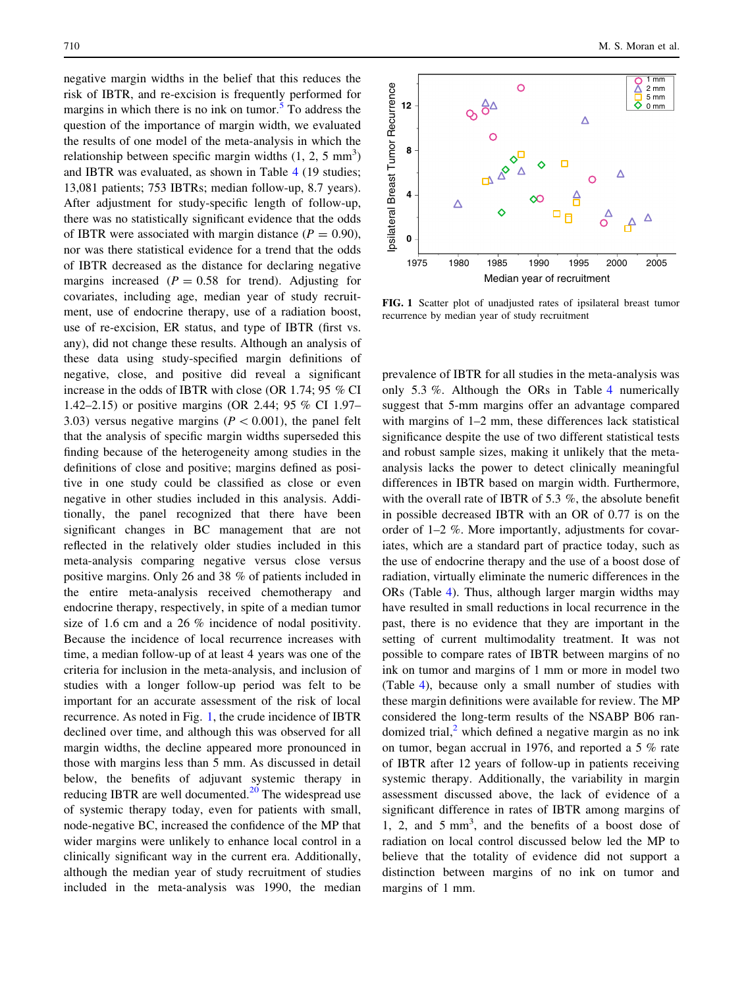negative margin widths in the belief that this reduces the risk of IBTR, and re-excision is frequently performed for margins in which there is no ink on tumor. $5$  To address the question of the importance of margin width, we evaluated the results of one model of the meta-analysis in which the relationship between specific margin widths  $(1, 2, 5 \text{ mm}^3)$ and IBTR was evaluated, as shown in Table [4](#page-4-0) (19 studies; 13,081 patients; 753 IBTRs; median follow-up, 8.7 years). After adjustment for study-specific length of follow-up, there was no statistically significant evidence that the odds of IBTR were associated with margin distance  $(P = 0.90)$ . nor was there statistical evidence for a trend that the odds of IBTR decreased as the distance for declaring negative margins increased ( $P = 0.58$  for trend). Adjusting for covariates, including age, median year of study recruitment, use of endocrine therapy, use of a radiation boost, use of re-excision, ER status, and type of IBTR (first vs. any), did not change these results. Although an analysis of these data using study-specified margin definitions of negative, close, and positive did reveal a significant increase in the odds of IBTR with close (OR 1.74; 95 % CI 1.42–2.15) or positive margins (OR 2.44; 95 % CI 1.97– 3.03) versus negative margins ( $P \lt 0.001$ ), the panel felt that the analysis of specific margin widths superseded this finding because of the heterogeneity among studies in the definitions of close and positive; margins defined as positive in one study could be classified as close or even negative in other studies included in this analysis. Additionally, the panel recognized that there have been significant changes in BC management that are not reflected in the relatively older studies included in this meta-analysis comparing negative versus close versus positive margins. Only 26 and 38 % of patients included in the entire meta-analysis received chemotherapy and endocrine therapy, respectively, in spite of a median tumor size of 1.6 cm and a 26 % incidence of nodal positivity. Because the incidence of local recurrence increases with time, a median follow-up of at least 4 years was one of the criteria for inclusion in the meta-analysis, and inclusion of studies with a longer follow-up period was felt to be important for an accurate assessment of the risk of local recurrence. As noted in Fig. 1, the crude incidence of IBTR declined over time, and although this was observed for all margin widths, the decline appeared more pronounced in those with margins less than 5 mm. As discussed in detail below, the benefits of adjuvant systemic therapy in reducing IBTR are well documented. $^{20}$  $^{20}$  $^{20}$  The widespread use of systemic therapy today, even for patients with small, node-negative BC, increased the confidence of the MP that wider margins were unlikely to enhance local control in a clinically significant way in the current era. Additionally, although the median year of study recruitment of studies included in the meta-analysis was 1990, the median



FIG. 1 Scatter plot of unadjusted rates of ipsilateral breast tumor recurrence by median year of study recruitment

prevalence of IBTR for all studies in the meta-analysis was only 5.3 %. Although the ORs in Table [4](#page-4-0) numerically suggest that 5-mm margins offer an advantage compared with margins of 1–2 mm, these differences lack statistical significance despite the use of two different statistical tests and robust sample sizes, making it unlikely that the metaanalysis lacks the power to detect clinically meaningful differences in IBTR based on margin width. Furthermore, with the overall rate of IBTR of 5.3 %, the absolute benefit in possible decreased IBTR with an OR of 0.77 is on the order of 1–2 %. More importantly, adjustments for covariates, which are a standard part of practice today, such as the use of endocrine therapy and the use of a boost dose of radiation, virtually eliminate the numeric differences in the ORs (Table [4](#page-4-0)). Thus, although larger margin widths may have resulted in small reductions in local recurrence in the past, there is no evidence that they are important in the setting of current multimodality treatment. It was not possible to compare rates of IBTR between margins of no ink on tumor and margins of 1 mm or more in model two (Table [4\)](#page-4-0), because only a small number of studies with these margin definitions were available for review. The MP considered the long-term results of the NSABP B06 randomized trial, $\frac{2}{3}$  $\frac{2}{3}$  $\frac{2}{3}$  which defined a negative margin as no ink on tumor, began accrual in 1976, and reported a 5 % rate of IBTR after 12 years of follow-up in patients receiving systemic therapy. Additionally, the variability in margin assessment discussed above, the lack of evidence of a significant difference in rates of IBTR among margins of 1, 2, and 5 mm<sup>3</sup>, and the benefits of a boost dose of radiation on local control discussed below led the MP to believe that the totality of evidence did not support a distinction between margins of no ink on tumor and margins of 1 mm.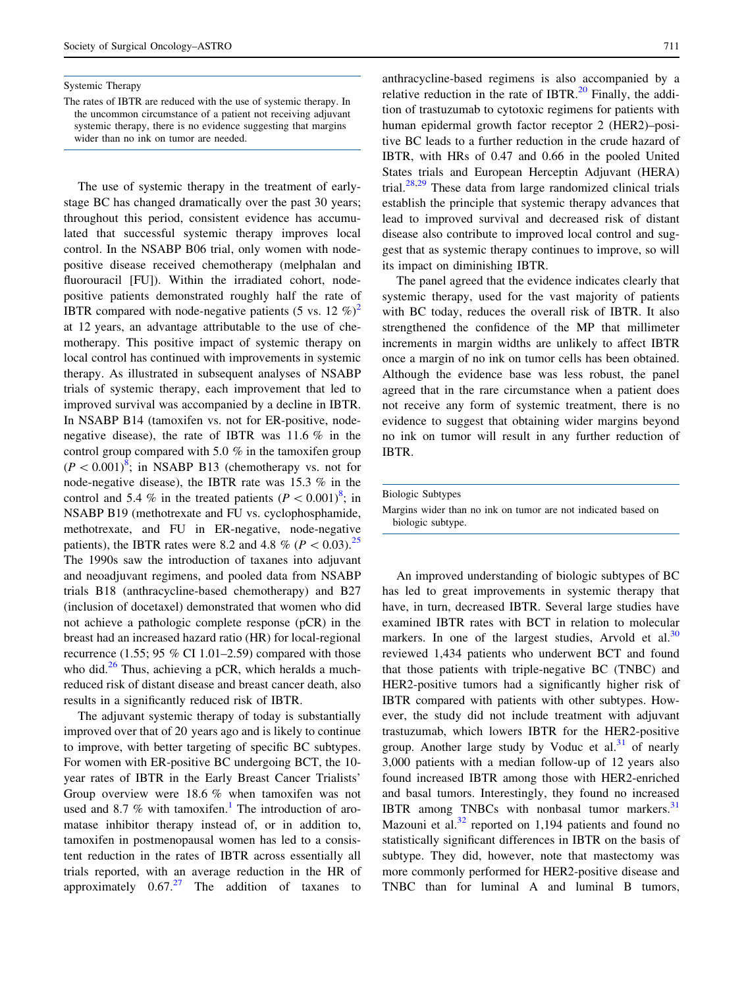#### Systemic Therapy

The rates of IBTR are reduced with the use of systemic therapy. In the uncommon circumstance of a patient not receiving adjuvant systemic therapy, there is no evidence suggesting that margins wider than no ink on tumor are needed.

The use of systemic therapy in the treatment of earlystage BC has changed dramatically over the past 30 years; throughout this period, consistent evidence has accumulated that successful systemic therapy improves local control. In the NSABP B06 trial, only women with nodepositive disease received chemotherapy (melphalan and fluorouracil [FU]). Within the irradiated cohort, nodepositive patients demonstrated roughly half the rate of IBTR compared with node-negative patients (5 vs. 1[2](#page-10-0)  $\%$ )<sup>2</sup> at 12 years, an advantage attributable to the use of chemotherapy. This positive impact of systemic therapy on local control has continued with improvements in systemic therapy. As illustrated in subsequent analyses of NSABP trials of systemic therapy, each improvement that led to improved survival was accompanied by a decline in IBTR. In NSABP B14 (tamoxifen vs. not for ER-positive, nodenegative disease), the rate of IBTR was 11.6 % in the control group compared with 5.0 % in the tamoxifen group  $(P < 0.001)^8$  $(P < 0.001)^8$ ; in NSABP B13 (chemotherapy vs. not for node-negative disease), the IBTR rate was 15.3 % in the control and 5.4 % in the treated patients  $(P < 0.001)^8$ ; in NSABP B19 (methotrexate and FU vs. cyclophosphamide, methotrexate, and FU in ER-negative, node-negative patients), the IBTR rates were 8.2 and 4.8 % ( $P < 0.03$ ).<sup>[25](#page-11-0)</sup> The 1990s saw the introduction of taxanes into adjuvant and neoadjuvant regimens, and pooled data from NSABP trials B18 (anthracycline-based chemotherapy) and B27 (inclusion of docetaxel) demonstrated that women who did not achieve a pathologic complete response (pCR) in the breast had an increased hazard ratio (HR) for local-regional recurrence  $(1.55; 95\% \text{ CI } 1.01-2.59)$  compared with those who did. $^{26}$  $^{26}$  $^{26}$  Thus, achieving a pCR, which heralds a muchreduced risk of distant disease and breast cancer death, also results in a significantly reduced risk of IBTR.

The adjuvant systemic therapy of today is substantially improved over that of 20 years ago and is likely to continue to improve, with better targeting of specific BC subtypes. For women with ER-positive BC undergoing BCT, the 10 year rates of IBTR in the Early Breast Cancer Trialists' Group overview were 18.6 % when tamoxifen was not used and 8.7  $\%$  with tamoxifen.<sup>[1](#page-10-0)</sup> The introduction of aromatase inhibitor therapy instead of, or in addition to, tamoxifen in postmenopausal women has led to a consistent reduction in the rates of IBTR across essentially all trials reported, with an average reduction in the HR of approximately  $0.67<sup>27</sup>$  $0.67<sup>27</sup>$  $0.67<sup>27</sup>$  The addition of taxanes to anthracycline-based regimens is also accompanied by a relative reduction in the rate of IBTR. $^{20}$  $^{20}$  $^{20}$  Finally, the addition of trastuzumab to cytotoxic regimens for patients with human epidermal growth factor receptor 2 (HER2)–positive BC leads to a further reduction in the crude hazard of IBTR, with HRs of 0.47 and 0.66 in the pooled United States trials and European Herceptin Adjuvant (HERA) trial. $28,29$  These data from large randomized clinical trials establish the principle that systemic therapy advances that lead to improved survival and decreased risk of distant disease also contribute to improved local control and suggest that as systemic therapy continues to improve, so will its impact on diminishing IBTR.

The panel agreed that the evidence indicates clearly that systemic therapy, used for the vast majority of patients with BC today, reduces the overall risk of IBTR. It also strengthened the confidence of the MP that millimeter increments in margin widths are unlikely to affect IBTR once a margin of no ink on tumor cells has been obtained. Although the evidence base was less robust, the panel agreed that in the rare circumstance when a patient does not receive any form of systemic treatment, there is no evidence to suggest that obtaining wider margins beyond no ink on tumor will result in any further reduction of IBTR.

| <b>Biologic Subtypes</b> |  |  |
|--------------------------|--|--|
|                          |  |  |

Margins wider than no ink on tumor are not indicated based on biologic subtype.

An improved understanding of biologic subtypes of BC has led to great improvements in systemic therapy that have, in turn, decreased IBTR. Several large studies have examined IBTR rates with BCT in relation to molecular markers. In one of the largest studies, Arvold et al.<sup>[30](#page-11-0)</sup> reviewed 1,434 patients who underwent BCT and found that those patients with triple-negative BC (TNBC) and HER2-positive tumors had a significantly higher risk of IBTR compared with patients with other subtypes. However, the study did not include treatment with adjuvant trastuzumab, which lowers IBTR for the HER2-positive group. Another large study by Voduc et al. $31$  of nearly 3,000 patients with a median follow-up of 12 years also found increased IBTR among those with HER2-enriched and basal tumors. Interestingly, they found no increased IBTR among TNBCs with nonbasal tumor markers.<sup>[31](#page-11-0)</sup> Mazouni et al. $32$  reported on 1,194 patients and found no statistically significant differences in IBTR on the basis of subtype. They did, however, note that mastectomy was more commonly performed for HER2-positive disease and TNBC than for luminal A and luminal B tumors,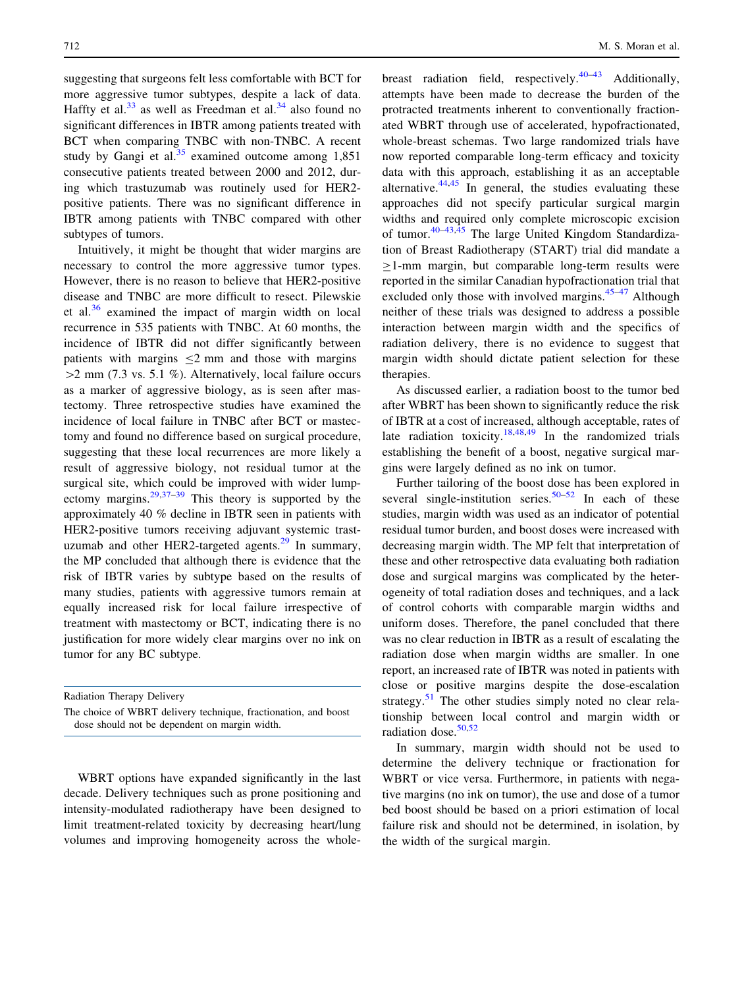suggesting that surgeons felt less comfortable with BCT for more aggressive tumor subtypes, despite a lack of data. Haffty et al. $33$  as well as Freedman et al. $34$  also found no significant differences in IBTR among patients treated with BCT when comparing TNBC with non-TNBC. A recent study by Gangi et al.<sup>[35](#page-11-0)</sup> examined outcome among  $1,851$ consecutive patients treated between 2000 and 2012, during which trastuzumab was routinely used for HER2 positive patients. There was no significant difference in IBTR among patients with TNBC compared with other subtypes of tumors.

Intuitively, it might be thought that wider margins are necessary to control the more aggressive tumor types. However, there is no reason to believe that HER2-positive disease and TNBC are more difficult to resect. Pilewskie et al. $36$  examined the impact of margin width on local recurrence in 535 patients with TNBC. At 60 months, the incidence of IBTR did not differ significantly between patients with margins  $\leq 2$  mm and those with margins  $>2$  mm (7.3 vs. 5.1 %). Alternatively, local failure occurs as a marker of aggressive biology, as is seen after mastectomy. Three retrospective studies have examined the incidence of local failure in TNBC after BCT or mastectomy and found no difference based on surgical procedure, suggesting that these local recurrences are more likely a result of aggressive biology, not residual tumor at the surgical site, which could be improved with wider lumpectomy margins.<sup>29,37–39</sup> This theory is supported by the approximately 40 % decline in IBTR seen in patients with HER2-positive tumors receiving adjuvant systemic trastuzumab and other HER2-targeted agents. $^{29}$  $^{29}$  $^{29}$  In summary, the MP concluded that although there is evidence that the risk of IBTR varies by subtype based on the results of many studies, patients with aggressive tumors remain at equally increased risk for local failure irrespective of treatment with mastectomy or BCT, indicating there is no justification for more widely clear margins over no ink on tumor for any BC subtype.

Radiation Therapy Delivery The choice of WBRT delivery technique, fractionation, and boost dose should not be dependent on margin width.

WBRT options have expanded significantly in the last decade. Delivery techniques such as prone positioning and intensity-modulated radiotherapy have been designed to limit treatment-related toxicity by decreasing heart/lung volumes and improving homogeneity across the whole-

breast radiation field, respectively.  $40-43$  $40-43$  $40-43$  Additionally, attempts have been made to decrease the burden of the protracted treatments inherent to conventionally fractionated WBRT through use of accelerated, hypofractionated, whole-breast schemas. Two large randomized trials have now reported comparable long-term efficacy and toxicity data with this approach, establishing it as an acceptable alternative. $44,45$  In general, the studies evaluating these approaches did not specify particular surgical margin widths and required only complete microscopic excision of tumor.[40–43,45](#page-11-0) The large United Kingdom Standardization of Breast Radiotherapy (START) trial did mandate a  $\geq$ 1-mm margin, but comparable long-term results were reported in the similar Canadian hypofractionation trial that excluded only those with involved margins. $45-47$  $45-47$  $45-47$  Although neither of these trials was designed to address a possible interaction between margin width and the specifics of radiation delivery, there is no evidence to suggest that margin width should dictate patient selection for these therapies.

As discussed earlier, a radiation boost to the tumor bed after WBRT has been shown to significantly reduce the risk of IBTR at a cost of increased, although acceptable, rates of late radiation toxicity.<sup>18,48,49</sup> In the randomized trials establishing the benefit of a boost, negative surgical margins were largely defined as no ink on tumor.

Further tailoring of the boost dose has been explored in several single-institution series.<sup>[50](#page-11-0)–[52](#page-12-0)</sup> In each of these studies, margin width was used as an indicator of potential residual tumor burden, and boost doses were increased with decreasing margin width. The MP felt that interpretation of these and other retrospective data evaluating both radiation dose and surgical margins was complicated by the heterogeneity of total radiation doses and techniques, and a lack of control cohorts with comparable margin widths and uniform doses. Therefore, the panel concluded that there was no clear reduction in IBTR as a result of escalating the radiation dose when margin widths are smaller. In one report, an increased rate of IBTR was noted in patients with close or positive margins despite the dose-escalation strategy.<sup>[51](#page-12-0)</sup> The other studies simply noted no clear relationship between local control and margin width or radiation dose.<sup>[50](#page-11-0)[,52](#page-12-0)</sup>

In summary, margin width should not be used to determine the delivery technique or fractionation for WBRT or vice versa. Furthermore, in patients with negative margins (no ink on tumor), the use and dose of a tumor bed boost should be based on a priori estimation of local failure risk and should not be determined, in isolation, by the width of the surgical margin.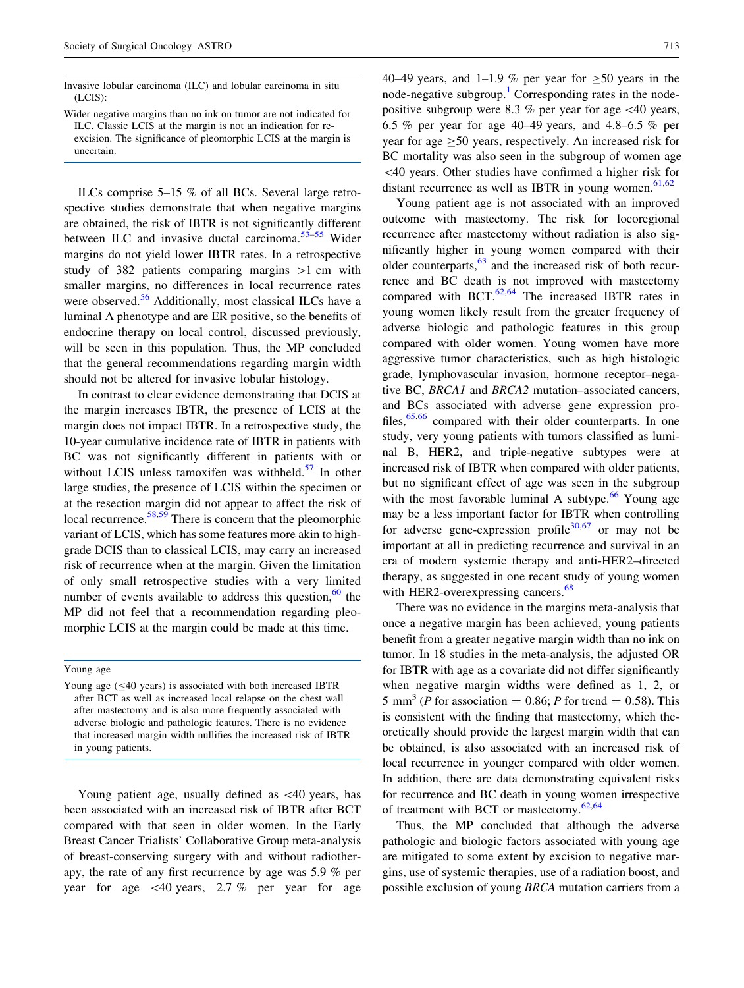|         |  |  | Invasive lobular carcinoma (ILC) and lobular carcinoma in situ |  |
|---------|--|--|----------------------------------------------------------------|--|
| (LCIS): |  |  |                                                                |  |

Wider negative margins than no ink on tumor are not indicated for ILC. Classic LCIS at the margin is not an indication for reexcision. The significance of pleomorphic LCIS at the margin is uncertain.

ILCs comprise 5–15 % of all BCs. Several large retrospective studies demonstrate that when negative margins are obtained, the risk of IBTR is not significantly different between ILC and invasive ductal carcinoma. $53-55$  $53-55$  $53-55$  Wider margins do not yield lower IBTR rates. In a retrospective study of 382 patients comparing margins  $>1$  cm with smaller margins, no differences in local recurrence rates were observed.<sup>[56](#page-12-0)</sup> Additionally, most classical ILCs have a luminal A phenotype and are ER positive, so the benefits of endocrine therapy on local control, discussed previously, will be seen in this population. Thus, the MP concluded that the general recommendations regarding margin width should not be altered for invasive lobular histology.

In contrast to clear evidence demonstrating that DCIS at the margin increases IBTR, the presence of LCIS at the margin does not impact IBTR. In a retrospective study, the 10-year cumulative incidence rate of IBTR in patients with BC was not significantly different in patients with or without LCIS unless tamoxifen was withheld. $57$  In other large studies, the presence of LCIS within the specimen or at the resection margin did not appear to affect the risk of local recurrence.<sup>[58,59](#page-12-0)</sup> There is concern that the pleomorphic variant of LCIS, which has some features more akin to highgrade DCIS than to classical LCIS, may carry an increased risk of recurrence when at the margin. Given the limitation of only small retrospective studies with a very limited number of events available to address this question,  $60$  the MP did not feel that a recommendation regarding pleomorphic LCIS at the margin could be made at this time.

Young patient age, usually defined as  $\langle 40 \rangle$  years, has been associated with an increased risk of IBTR after BCT compared with that seen in older women. In the Early Breast Cancer Trialists' Collaborative Group meta-analysis of breast-conserving surgery with and without radiotherapy, the rate of any first recurrence by age was 5.9 % per year for age  $\lt$  40 years, 2.7 % per year for age 40–49 years, and 1–1.9 % per year for  $>50$  years in the node-negative subgroup.<sup>[1](#page-10-0)</sup> Corresponding rates in the nodepositive subgroup were 8.3 % per year for age  $\lt$ 40 years, 6.5 % per year for age 40–49 years, and 4.8–6.5 % per year for age  $>50$  years, respectively. An increased risk for BC mortality was also seen in the subgroup of women age \40 years. Other studies have confirmed a higher risk for distant recurrence as well as IBTR in young women. $61,62$ 

Young patient age is not associated with an improved outcome with mastectomy. The risk for locoregional recurrence after mastectomy without radiation is also significantly higher in young women compared with their older counterparts, $63$  and the increased risk of both recurrence and BC death is not improved with mastectomy compared with BCT. $62,64$  $62,64$  $62,64$  The increased IBTR rates in young women likely result from the greater frequency of adverse biologic and pathologic features in this group compared with older women. Young women have more aggressive tumor characteristics, such as high histologic grade, lymphovascular invasion, hormone receptor–negative BC, BRCA1 and BRCA2 mutation–associated cancers, and BCs associated with adverse gene expression profiles,  $65,66$  compared with their older counterparts. In one study, very young patients with tumors classified as luminal B, HER2, and triple-negative subtypes were at increased risk of IBTR when compared with older patients, but no significant effect of age was seen in the subgroup with the most favorable luminal A subtype. $66$  Young age may be a less important factor for IBTR when controlling for adverse gene-expression profile $30,67$  $30,67$  or may not be important at all in predicting recurrence and survival in an era of modern systemic therapy and anti-HER2–directed therapy, as suggested in one recent study of young women with HER2-overexpressing cancers. $\frac{68}{68}$  $\frac{68}{68}$  $\frac{68}{68}$ 

There was no evidence in the margins meta-analysis that once a negative margin has been achieved, young patients benefit from a greater negative margin width than no ink on tumor. In 18 studies in the meta-analysis, the adjusted OR for IBTR with age as a covariate did not differ significantly when negative margin widths were defined as 1, 2, or 5 mm<sup>3</sup> (*P* for association = 0.86; *P* for trend = 0.58). This is consistent with the finding that mastectomy, which theoretically should provide the largest margin width that can be obtained, is also associated with an increased risk of local recurrence in younger compared with older women. In addition, there are data demonstrating equivalent risks for recurrence and BC death in young women irrespective of treatment with BCT or mastectomy. $62,64$ 

Thus, the MP concluded that although the adverse pathologic and biologic factors associated with young age are mitigated to some extent by excision to negative margins, use of systemic therapies, use of a radiation boost, and possible exclusion of young BRCA mutation carriers from a

Young age

Young age  $(\leq 40$  years) is associated with both increased IBTR after BCT as well as increased local relapse on the chest wall after mastectomy and is also more frequently associated with adverse biologic and pathologic features. There is no evidence that increased margin width nullifies the increased risk of IBTR in young patients.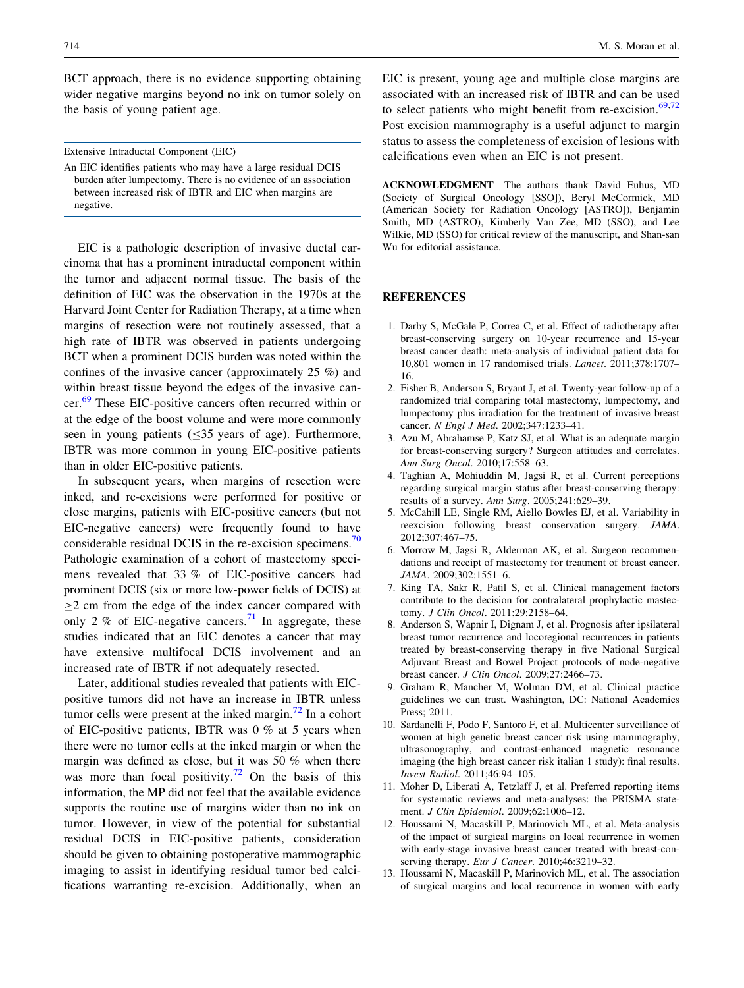<span id="page-10-0"></span>BCT approach, there is no evidence supporting obtaining wider negative margins beyond no ink on tumor solely on the basis of young patient age.

Extensive Intraductal Component (EIC)

An EIC identifies patients who may have a large residual DCIS burden after lumpectomy. There is no evidence of an association between increased risk of IBTR and EIC when margins are negative.

EIC is a pathologic description of invasive ductal carcinoma that has a prominent intraductal component within the tumor and adjacent normal tissue. The basis of the definition of EIC was the observation in the 1970s at the Harvard Joint Center for Radiation Therapy, at a time when margins of resection were not routinely assessed, that a high rate of IBTR was observed in patients undergoing BCT when a prominent DCIS burden was noted within the confines of the invasive cancer (approximately 25 %) and within breast tissue beyond the edges of the invasive can-cer.<sup>[69](#page-12-0)</sup> These EIC-positive cancers often recurred within or at the edge of the boost volume and were more commonly seen in young patients  $(\leq 35$  years of age). Furthermore, IBTR was more common in young EIC-positive patients than in older EIC-positive patients.

In subsequent years, when margins of resection were inked, and re-excisions were performed for positive or close margins, patients with EIC-positive cancers (but not EIC-negative cancers) were frequently found to have considerable residual DCIS in the re-excision specimens.<sup>[70](#page-12-0)</sup> Pathologic examination of a cohort of mastectomy specimens revealed that 33 % of EIC-positive cancers had prominent DCIS (six or more low-power fields of DCIS) at  $\geq$  2 cm from the edge of the index cancer compared with only 2 % of EIC-negative cancers.<sup>[71](#page-12-0)</sup> In aggregate, these studies indicated that an EIC denotes a cancer that may have extensive multifocal DCIS involvement and an increased rate of IBTR if not adequately resected.

Later, additional studies revealed that patients with EICpositive tumors did not have an increase in IBTR unless tumor cells were present at the inked margin. $^{72}$  $^{72}$  $^{72}$  In a cohort of EIC-positive patients, IBTR was 0 % at 5 years when there were no tumor cells at the inked margin or when the margin was defined as close, but it was 50 % when there was more than focal positivity.<sup>[72](#page-12-0)</sup> On the basis of this information, the MP did not feel that the available evidence supports the routine use of margins wider than no ink on tumor. However, in view of the potential for substantial residual DCIS in EIC-positive patients, consideration should be given to obtaining postoperative mammographic imaging to assist in identifying residual tumor bed calcifications warranting re-excision. Additionally, when an EIC is present, young age and multiple close margins are associated with an increased risk of IBTR and can be used to select patients who might benefit from re-excision. $69,72$ Post excision mammography is a useful adjunct to margin status to assess the completeness of excision of lesions with calcifications even when an EIC is not present.

ACKNOWLEDGMENT The authors thank David Euhus, MD (Society of Surgical Oncology [SSO]), Beryl McCormick, MD (American Society for Radiation Oncology [ASTRO]), Benjamin Smith, MD (ASTRO), Kimberly Van Zee, MD (SSO), and Lee Wilkie, MD (SSO) for critical review of the manuscript, and Shan-san Wu for editorial assistance.

## **REFERENCES**

- 1. Darby S, McGale P, Correa C, et al. Effect of radiotherapy after breast-conserving surgery on 10-year recurrence and 15-year breast cancer death: meta-analysis of individual patient data for 10,801 women in 17 randomised trials. Lancet. 2011;378:1707– 16.
- 2. Fisher B, Anderson S, Bryant J, et al. Twenty-year follow-up of a randomized trial comparing total mastectomy, lumpectomy, and lumpectomy plus irradiation for the treatment of invasive breast cancer. N Engl J Med. 2002;347:1233–41.
- 3. Azu M, Abrahamse P, Katz SJ, et al. What is an adequate margin for breast-conserving surgery? Surgeon attitudes and correlates. Ann Surg Oncol. 2010;17:558–63.
- 4. Taghian A, Mohiuddin M, Jagsi R, et al. Current perceptions regarding surgical margin status after breast-conserving therapy: results of a survey. Ann Surg. 2005;241:629–39.
- 5. McCahill LE, Single RM, Aiello Bowles EJ, et al. Variability in reexcision following breast conservation surgery. JAMA. 2012;307:467–75.
- 6. Morrow M, Jagsi R, Alderman AK, et al. Surgeon recommendations and receipt of mastectomy for treatment of breast cancer. JAMA. 2009;302:1551–6.
- 7. King TA, Sakr R, Patil S, et al. Clinical management factors contribute to the decision for contralateral prophylactic mastectomy. J Clin Oncol. 2011;29:2158-64.
- 8. Anderson S, Wapnir I, Dignam J, et al. Prognosis after ipsilateral breast tumor recurrence and locoregional recurrences in patients treated by breast-conserving therapy in five National Surgical Adjuvant Breast and Bowel Project protocols of node-negative breast cancer. J Clin Oncol. 2009;27:2466–73.
- 9. Graham R, Mancher M, Wolman DM, et al. Clinical practice guidelines we can trust. Washington, DC: National Academies Press; 2011.
- 10. Sardanelli F, Podo F, Santoro F, et al. Multicenter surveillance of women at high genetic breast cancer risk using mammography, ultrasonography, and contrast-enhanced magnetic resonance imaging (the high breast cancer risk italian 1 study): final results. Invest Radiol. 2011;46:94–105.
- 11. Moher D, Liberati A, Tetzlaff J, et al. Preferred reporting items for systematic reviews and meta-analyses: the PRISMA statement. J Clin Epidemiol. 2009;62:1006–12.
- 12. Houssami N, Macaskill P, Marinovich ML, et al. Meta-analysis of the impact of surgical margins on local recurrence in women with early-stage invasive breast cancer treated with breast-conserving therapy. Eur J Cancer. 2010;46:3219-32.
- 13. Houssami N, Macaskill P, Marinovich ML, et al. The association of surgical margins and local recurrence in women with early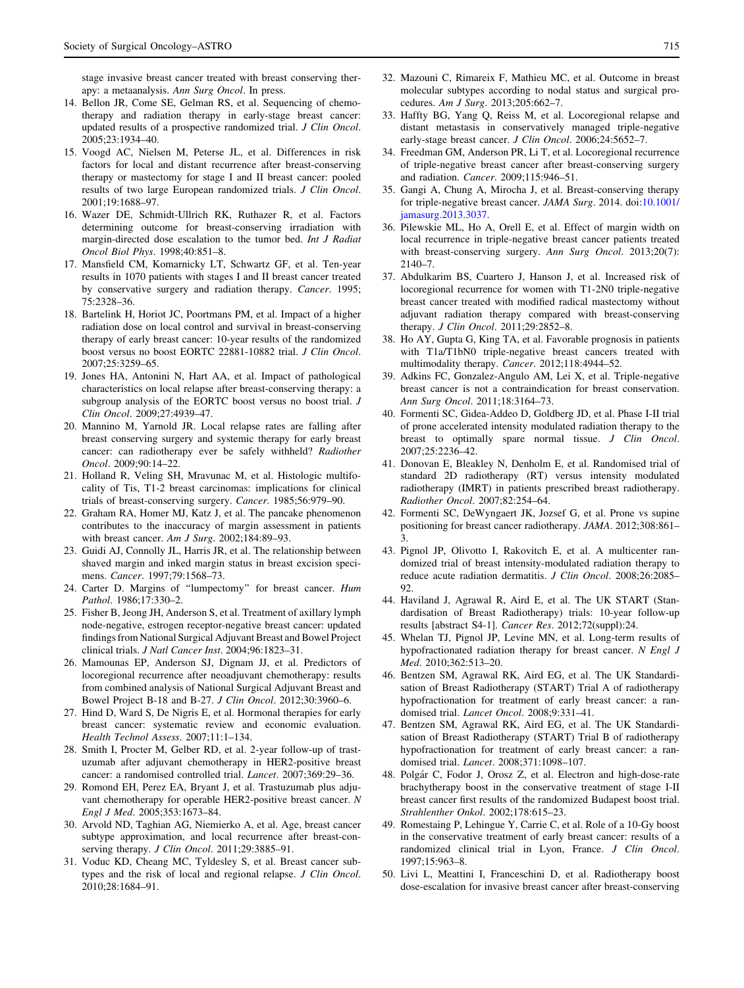<span id="page-11-0"></span>stage invasive breast cancer treated with breast conserving therapy: a metaanalysis. Ann Surg Oncol. In press.

- 14. Bellon JR, Come SE, Gelman RS, et al. Sequencing of chemotherapy and radiation therapy in early-stage breast cancer: updated results of a prospective randomized trial. J Clin Oncol. 2005;23:1934–40.
- 15. Voogd AC, Nielsen M, Peterse JL, et al. Differences in risk factors for local and distant recurrence after breast-conserving therapy or mastectomy for stage I and II breast cancer: pooled results of two large European randomized trials. J Clin Oncol. 2001;19:1688–97.
- 16. Wazer DE, Schmidt-Ullrich RK, Ruthazer R, et al. Factors determining outcome for breast-conserving irradiation with margin-directed dose escalation to the tumor bed. Int J Radiat Oncol Biol Phys. 1998;40:851–8.
- 17. Mansfield CM, Komarnicky LT, Schwartz GF, et al. Ten-year results in 1070 patients with stages I and II breast cancer treated by conservative surgery and radiation therapy. Cancer. 1995; 75:2328–36.
- 18. Bartelink H, Horiot JC, Poortmans PM, et al. Impact of a higher radiation dose on local control and survival in breast-conserving therapy of early breast cancer: 10-year results of the randomized boost versus no boost EORTC 22881-10882 trial. J Clin Oncol. 2007;25:3259–65.
- 19. Jones HA, Antonini N, Hart AA, et al. Impact of pathological characteristics on local relapse after breast-conserving therapy: a subgroup analysis of the EORTC boost versus no boost trial. J Clin Oncol. 2009;27:4939–47.
- 20. Mannino M, Yarnold JR. Local relapse rates are falling after breast conserving surgery and systemic therapy for early breast cancer: can radiotherapy ever be safely withheld? Radiother Oncol. 2009;90:14–22.
- 21. Holland R, Veling SH, Mravunac M, et al. Histologic multifocality of Tis, T1-2 breast carcinomas: implications for clinical trials of breast-conserving surgery. Cancer. 1985;56:979–90.
- 22. Graham RA, Homer MJ, Katz J, et al. The pancake phenomenon contributes to the inaccuracy of margin assessment in patients with breast cancer. Am J Surg. 2002;184:89–93.
- 23. Guidi AJ, Connolly JL, Harris JR, et al. The relationship between shaved margin and inked margin status in breast excision specimens. Cancer. 1997;79:1568–73.
- 24. Carter D. Margins of "lumpectomy" for breast cancer. Hum Pathol. 1986;17:330–2.
- 25. Fisher B, Jeong JH, Anderson S, et al. Treatment of axillary lymph node-negative, estrogen receptor-negative breast cancer: updated findings from National Surgical Adjuvant Breast and Bowel Project clinical trials. J Natl Cancer Inst. 2004;96:1823–31.
- 26. Mamounas EP, Anderson SJ, Dignam JJ, et al. Predictors of locoregional recurrence after neoadjuvant chemotherapy: results from combined analysis of National Surgical Adjuvant Breast and Bowel Project B-18 and B-27. J Clin Oncol. 2012;30:3960–6.
- 27. Hind D, Ward S, De Nigris E, et al. Hormonal therapies for early breast cancer: systematic review and economic evaluation. Health Technol Assess. 2007;11:1–134.
- 28. Smith I, Procter M, Gelber RD, et al. 2-year follow-up of trastuzumab after adjuvant chemotherapy in HER2-positive breast cancer: a randomised controlled trial. Lancet. 2007;369:29–36.
- 29. Romond EH, Perez EA, Bryant J, et al. Trastuzumab plus adjuvant chemotherapy for operable HER2-positive breast cancer. N Engl J Med. 2005;353:1673–84.
- 30. Arvold ND, Taghian AG, Niemierko A, et al. Age, breast cancer subtype approximation, and local recurrence after breast-conserving therapy. J Clin Oncol. 2011;29:3885-91.
- 31. Voduc KD, Cheang MC, Tyldesley S, et al. Breast cancer subtypes and the risk of local and regional relapse. J Clin Oncol. 2010;28:1684–91.
- 32. Mazouni C, Rimareix F, Mathieu MC, et al. Outcome in breast molecular subtypes according to nodal status and surgical procedures. Am J Surg. 2013;205:662–7.
- 33. Haffty BG, Yang Q, Reiss M, et al. Locoregional relapse and distant metastasis in conservatively managed triple-negative early-stage breast cancer. J Clin Oncol. 2006;24:5652-7.
- 34. Freedman GM, Anderson PR, Li T, et al. Locoregional recurrence of triple-negative breast cancer after breast-conserving surgery and radiation. Cancer. 2009;115:946–51.
- 35. Gangi A, Chung A, Mirocha J, et al. Breast-conserving therapy for triple-negative breast cancer. JAMA Surg. 2014. doi[:10.1001/](http://dx.doi.org/10.1001/jamasurg.2013.3037) [jamasurg.2013.3037.](http://dx.doi.org/10.1001/jamasurg.2013.3037)
- 36. Pilewskie ML, Ho A, Orell E, et al. Effect of margin width on local recurrence in triple-negative breast cancer patients treated with breast-conserving surgery. Ann Surg Oncol. 2013;20(7): 2140–7.
- 37. Abdulkarim BS, Cuartero J, Hanson J, et al. Increased risk of locoregional recurrence for women with T1-2N0 triple-negative breast cancer treated with modified radical mastectomy without adjuvant radiation therapy compared with breast-conserving therapy. J Clin Oncol. 2011;29:2852–8.
- 38. Ho AY, Gupta G, King TA, et al. Favorable prognosis in patients with T1a/T1bN0 triple-negative breast cancers treated with multimodality therapy. Cancer. 2012;118:4944–52.
- 39. Adkins FC, Gonzalez-Angulo AM, Lei X, et al. Triple-negative breast cancer is not a contraindication for breast conservation. Ann Surg Oncol. 2011;18:3164–73.
- 40. Formenti SC, Gidea-Addeo D, Goldberg JD, et al. Phase I-II trial of prone accelerated intensity modulated radiation therapy to the breast to optimally spare normal tissue. J Clin Oncol. 2007;25:2236–42.
- 41. Donovan E, Bleakley N, Denholm E, et al. Randomised trial of standard 2D radiotherapy (RT) versus intensity modulated radiotherapy (IMRT) in patients prescribed breast radiotherapy. Radiother Oncol. 2007;82:254–64.
- 42. Formenti SC, DeWyngaert JK, Jozsef G, et al. Prone vs supine positioning for breast cancer radiotherapy. JAMA. 2012;308:861– 3.
- 43. Pignol JP, Olivotto I, Rakovitch E, et al. A multicenter randomized trial of breast intensity-modulated radiation therapy to reduce acute radiation dermatitis. J Clin Oncol. 2008;26:2085– 92.
- 44. Haviland J, Agrawal R, Aird E, et al. The UK START (Standardisation of Breast Radiotherapy) trials: 10-year follow-up results [abstract S4-1]. Cancer Res. 2012;72(suppl):24.
- 45. Whelan TJ, Pignol JP, Levine MN, et al. Long-term results of hypofractionated radiation therapy for breast cancer. N Engl J Med. 2010;362:513–20.
- 46. Bentzen SM, Agrawal RK, Aird EG, et al. The UK Standardisation of Breast Radiotherapy (START) Trial A of radiotherapy hypofractionation for treatment of early breast cancer: a randomised trial. Lancet Oncol. 2008;9:331–41.
- 47. Bentzen SM, Agrawal RK, Aird EG, et al. The UK Standardisation of Breast Radiotherapy (START) Trial B of radiotherapy hypofractionation for treatment of early breast cancer: a randomised trial. Lancet. 2008;371:1098–107.
- 48. Polga´r C, Fodor J, Orosz Z, et al. Electron and high-dose-rate brachytherapy boost in the conservative treatment of stage I-II breast cancer first results of the randomized Budapest boost trial. Strahlenther Onkol. 2002;178:615–23.
- 49. Romestaing P, Lehingue Y, Carrie C, et al. Role of a 10-Gy boost in the conservative treatment of early breast cancer: results of a randomized clinical trial in Lyon, France. J Clin Oncol. 1997;15:963–8.
- 50. Livi L, Meattini I, Franceschini D, et al. Radiotherapy boost dose-escalation for invasive breast cancer after breast-conserving